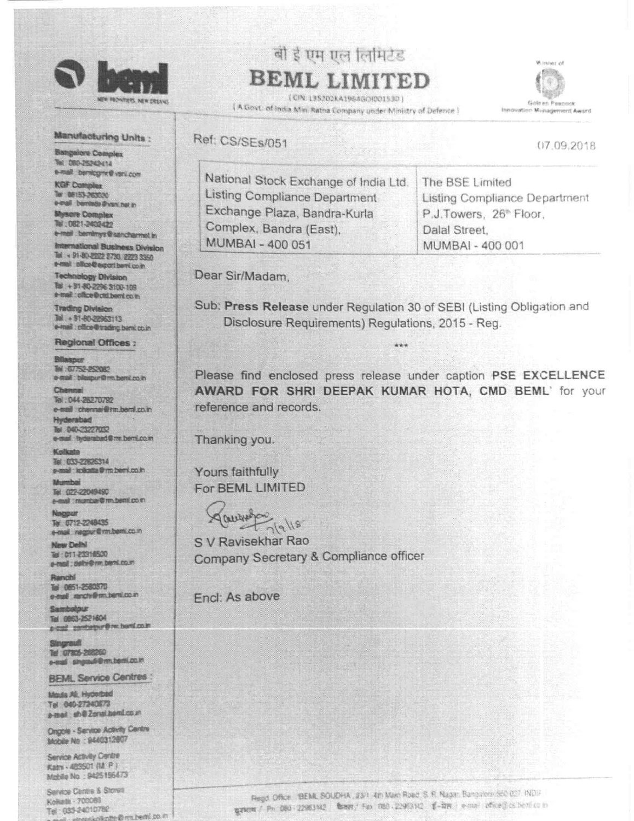

# बी ई एम एल लिमिटेड BEML LIMITED

(CIN 135202KA1964GOIO0153D) [ A Govt. of india Mini Ratna Company under Ministry of Defence ]



07.09.2018

### Manufacturing Units :

**Bangalore Complex** Tel: 080-25242414 e-mail: benicgne@vani.com

**KGF Complex** Tur 08153-263020 e-mail berritade@vsrc.net.in

**Mysore Complex** 10:0821-2402422 e-mail bendriys@sancharmetin

International Business Division Tel + 91-80-2022 2730 2223 3350 a-mail office@export.barri.co.in

**Technology Division** 10 + 31-80-2296 3100-109 a-mail: office@ctd.bemi.co.in

**Trading Division** Tel: + 91-80-22963113 e-mail : cilice@trading.bank.co.in

**Regional Offices:** 

Bilaspur This 67752-252082 a-mail: bilespur@rm.bent.co.in

Chemnal Tel: 044-26270792

e-mail chennai@rm.bami.co.in **Hyderabad** Tel: 040-23227032 e-mail hyderabad@mi.bent.co.in

Kolkate THE 033-22626314 e-mail: lodiatta@m.beml.co.in

Mumbai Tel: 022-22049490 e-mail: mumber@ m bemi.co.m

**Bincomost** Tel: 0712-2248435 e-mail regret@mbeni.com

New Delhi 1011-23314500 e-mail: celtv@nn.beni.co.m

Ranchi Tel 0851-2580370 e-tell rench@m.beni.co.in

Sambolour Tel: 0863-2521604 peal pantager@m.bani.co.in

Singrauf Tel: 07805-268260 e-mail singrauf/@muteoni.co.in

**BEML Service Centres:** 

Moda Ali, Hyderbad Tel: 040-27240873 e-meil: sh@Zonal.beimLco.in

Ongole - Service Activity Centre Mobile No : 9440312607

Service Activity Centre Katy - 483501 (M. P.) Mabile No : 9425 156473

Service Centre & Stores Kokata - 700089 Tel: 033-24010782 ofkolte@rm.bedtl.co.in Ref: CS/SEs/051 National Stock Exchange of India Ltd. **Listing Compliance Department** 

The BSE Limited Listing Compliance Department P.J.Towers, 26<sup>th</sup> Floor, Dalal Street. MUMBAI - 400 001

Dear Sir/Madam,

Exchange Plaza, Bandra-Kurla

Complex, Bandra (East),

MUMBAI - 400 051

Sub: Press Release under Regulation 30 of SEBI (Listing Obligation and Disclosure Requirements) Regulations, 2015 - Reg.

\*\*\*

Please find enclosed press release under caption PSE EXCELLENCE AWARD FOR SHRI DEEPAK KUMAR HOTA, CMD BEML' for your reference and records.

Thanking you.

Yours faithfully For BEML LIMITED

gaugeston  $T_7|9|18$ 

S V Ravisekhar Rao Company Secretary & Compliance officer

Fncl: As above